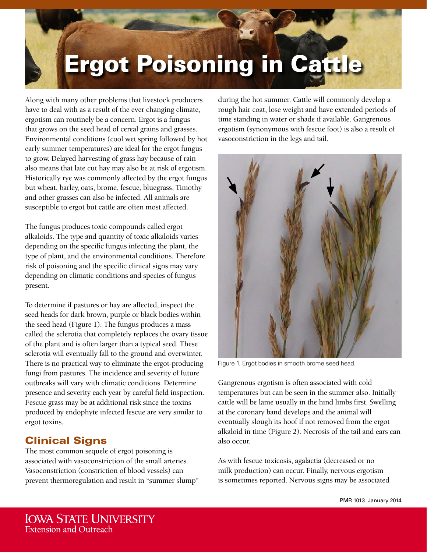# Ergot Poisoning in Cattle

Along with many other problems that livestock producers have to deal with as a result of the ever changing climate, ergotism can routinely be a concern. Ergot is a fungus that grows on the seed head of cereal grains and grasses. Environmental conditions (cool wet spring followed by hot early summer temperatures) are ideal for the ergot fungus to grow. Delayed harvesting of grass hay because of rain also means that late cut hay may also be at risk of ergotism. Historically rye was commonly affected by the ergot fungus but wheat, barley, oats, brome, fescue, bluegrass, Timothy and other grasses can also be infected. All animals are susceptible to ergot but cattle are often most affected.

The fungus produces toxic compounds called ergot alkaloids. The type and quantity of toxic alkaloids varies depending on the specific fungus infecting the plant, the type of plant, and the environmental conditions. Therefore risk of poisoning and the specific clinical signs may vary depending on climatic conditions and species of fungus present.

To determine if pastures or hay are affected, inspect the seed heads for dark brown, purple or black bodies within the seed head (Figure 1). The fungus produces a mass called the sclerotia that completely replaces the ovary tissue of the plant and is often larger than a typical seed. These sclerotia will eventually fall to the ground and overwinter. There is no practical way to eliminate the ergot-producing fungi from pastures. The incidence and severity of future outbreaks will vary with climatic conditions. Determine presence and severity each year by careful field inspection. Fescue grass may be at additional risk since the toxins produced by endophyte infected fescue are very similar to ergot toxins.

## Clinical Signs

The most common sequele of ergot poisoning is associated with vasoconstriction of the small arteries. Vasoconstriction (constriction of blood vessels) can prevent thermoregulation and result in "summer slump" during the hot summer. Cattle will commonly develop a rough hair coat, lose weight and have extended periods of time standing in water or shade if available. Gangrenous ergotism (synonymous with fescue foot) is also a result of vasoconstriction in the legs and tail.



Figure 1. Ergot bodies in smooth brome seed head.

Gangrenous ergotism is often associated with cold temperatures but can be seen in the summer also. Initially cattle will be lame usually in the hind limbs first. Swelling at the coronary band develops and the animal will eventually slough its hoof if not removed from the ergot alkaloid in time (Figure 2). Necrosis of the tail and ears can also occur.

As with fescue toxicosis, agalactia (decreased or no milk production) can occur. Finally, nervous ergotism is sometimes reported. Nervous signs may be associated